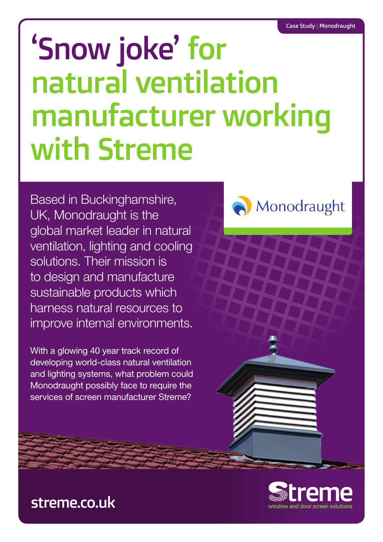# 'Snow joke' for natural ventilation manufacturer working with Streme

Based in Buckinghamshire, UK, Monodraught is the global market leader in natural ventilation, lighting and cooling solutions. Their mission is to design and manufacture sustainable products which harness natural resources to improve internal environments.

With a glowing 40 year track record of developing world-class natural ventilation and lighting systems, what problem could Monodraught possibly face to require the services of screen manufacturer Streme?





# streme.co.uk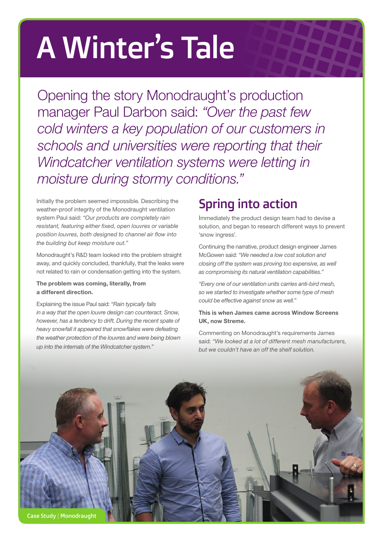# A Winter's Tale

Opening the story Monodraught's production manager Paul Darbon said: *"Over the past few cold winters a key population of our customers in schools and universities were reporting that their Windcatcher ventilation systems were letting in moisture during stormy conditions."*

Initially the problem seemed impossible. Describing the weather-proof integrity of the Monodraught ventilation system Paul said: *"Our products are completely rain resistant, featuring either fixed, open louvres or variable position louvres, both designed to channel air flow into the building but keep moisture out."*

Monodraught's R&D team looked into the problem straight away, and quickly concluded, thankfully, that the leaks were not related to rain or condensation getting into the system.

#### **The problem was coming, literally, from a different direction.**

Explaining the issue Paul said: *"Rain typically falls in a way that the open louvre design can counteract. Snow, however, has a tendency to drift. During the recent spate of heavy snowfall it appeared that snowflakes were defeating the weather protection of the louvres and were being blown up into the internals of the Windcatcher system."*

# Spring into action

Immediately the product design team had to devise a solution, and began to research different ways to prevent 'snow ingress'.

Continuing the narrative, product design engineer James McGowen said: *"We needed a low cost solution and closing off the system was proving too expensive, as well as compromising its natural ventilation capabilities."*

*"Every one of our ventilation units carries anti-bird mesh, so we started to investigate whether some type of mesh could be effective against snow as well."*

#### **This is when James came across Window Screens UK, now Streme.**

Commenting on Monodraught's requirements James said: *"We looked at a lot of different mesh manufacturers, but we couldn't have an off the shelf solution.*

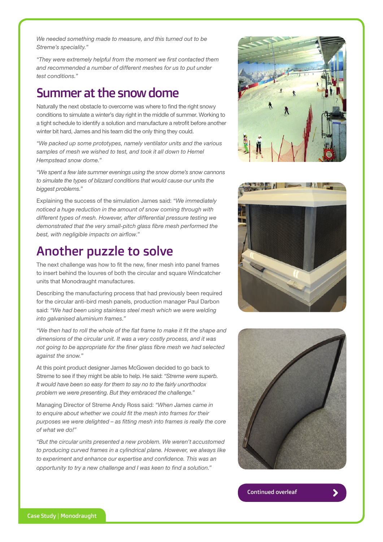*We needed something made to measure, and this turned out to be Streme's speciality."*

*"They were extremely helpful from the moment we first contacted them and recommended a number of different meshes for us to put under test conditions."*

### Summer at the snow dome

Naturally the next obstacle to overcome was where to find the right snowy conditions to simulate a winter's day right in the middle of summer. Working to a tight schedule to identify a solution and manufacture a retrofit before another winter bit hard, James and his team did the only thing they could.

*"We packed up some prototypes, namely ventilator units and the various samples of mesh we wished to test, and took it all down to Hemel Hempstead snow dome."*

*"We spent a few late summer evenings using the snow dome's snow cannons to simulate the types of blizzard conditions that would cause our units the biggest problems."*

Explaining the success of the simulation James said: *"We immediately noticed a huge reduction in the amount of snow coming through with different types of mesh. However, after differential pressure testing we demonstrated that the very small-pitch glass fibre mesh performed the best, with negligible impacts on airflow."*

## Another puzzle to solve

The next challenge was how to fit the new, finer mesh into panel frames to insert behind the louvres of both the circular and square Windcatcher units that Monodraught manufactures.

Describing the manufacturing process that had previously been required for the circular anti-bird mesh panels, production manager Paul Darbon said: *"We had been using stainless steel mesh which we were welding into galvanised aluminium frames."*

*"We then had to roll the whole of the flat frame to make it fit the shape and dimensions of the circular unit. It was a very costly process, and it was not going to be appropriate for the finer glass fibre mesh we had selected against the snow."*

At this point product designer James McGowen decided to go back to Streme to see if they might be able to help. He said: *"Streme were superb. It would have been so easy for them to say no to the fairly unorthodox problem we were presenting. But they embraced the challenge."*

Managing Director of Streme Andy Ross said: *"When James came in to enquire about whether we could fit the mesh into frames for their purposes we were delighted – as fitting mesh into frames is really the core of what we do!"*

*"But the circular units presented a new problem. We weren't accustomed to producing curved frames in a cylindrical plane. However, we always like to experiment and enhance our expertise and confidence. This was an opportunity to try a new challenge and I was keen to find a solution."*







Continued overleaf